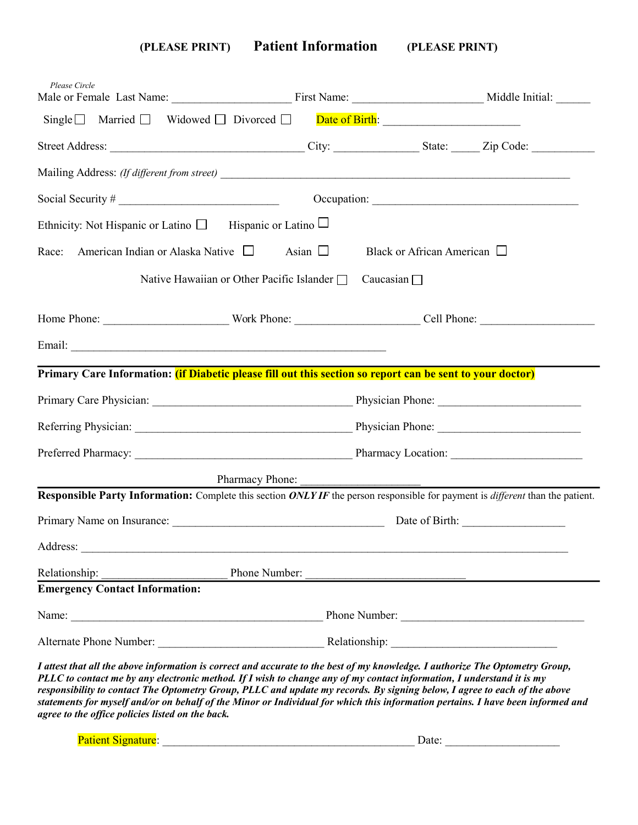**(PLEASE PRINT) Patient Information (PLEASE PRINT)**

| Please Circle                                                                                                                                                                                                                                                                                                                                                                                                                                                                                                                                                              |                                                                                                                                                                                                                                     |                                                        |                |
|----------------------------------------------------------------------------------------------------------------------------------------------------------------------------------------------------------------------------------------------------------------------------------------------------------------------------------------------------------------------------------------------------------------------------------------------------------------------------------------------------------------------------------------------------------------------------|-------------------------------------------------------------------------------------------------------------------------------------------------------------------------------------------------------------------------------------|--------------------------------------------------------|----------------|
| Single $\Box$ Married $\Box$ Widowed $\Box$ Divorced $\Box$ Date of Birth:                                                                                                                                                                                                                                                                                                                                                                                                                                                                                                 |                                                                                                                                                                                                                                     |                                                        |                |
|                                                                                                                                                                                                                                                                                                                                                                                                                                                                                                                                                                            |                                                                                                                                                                                                                                     |                                                        |                |
|                                                                                                                                                                                                                                                                                                                                                                                                                                                                                                                                                                            |                                                                                                                                                                                                                                     |                                                        |                |
|                                                                                                                                                                                                                                                                                                                                                                                                                                                                                                                                                                            | Occupation:                                                                                                                                                                                                                         |                                                        |                |
| Ethnicity: Not Hispanic or Latino $\Box$ Hispanic or Latino $\Box$                                                                                                                                                                                                                                                                                                                                                                                                                                                                                                         |                                                                                                                                                                                                                                     |                                                        |                |
| Race:<br>American Indian or Alaska Native $\Box$                                                                                                                                                                                                                                                                                                                                                                                                                                                                                                                           | Asian $\Box$                                                                                                                                                                                                                        | Black or African American $\Box$                       |                |
|                                                                                                                                                                                                                                                                                                                                                                                                                                                                                                                                                                            | Native Hawaiian or Other Pacific Islander □ Caucasian □                                                                                                                                                                             |                                                        |                |
|                                                                                                                                                                                                                                                                                                                                                                                                                                                                                                                                                                            |                                                                                                                                                                                                                                     |                                                        |                |
|                                                                                                                                                                                                                                                                                                                                                                                                                                                                                                                                                                            |                                                                                                                                                                                                                                     |                                                        |                |
| Primary Care Information: <i>(if Diabetic please fill out this section so report can be sent to your doctor)</i>                                                                                                                                                                                                                                                                                                                                                                                                                                                           |                                                                                                                                                                                                                                     |                                                        |                |
|                                                                                                                                                                                                                                                                                                                                                                                                                                                                                                                                                                            |                                                                                                                                                                                                                                     |                                                        |                |
|                                                                                                                                                                                                                                                                                                                                                                                                                                                                                                                                                                            |                                                                                                                                                                                                                                     |                                                        |                |
|                                                                                                                                                                                                                                                                                                                                                                                                                                                                                                                                                                            |                                                                                                                                                                                                                                     |                                                        |                |
|                                                                                                                                                                                                                                                                                                                                                                                                                                                                                                                                                                            | Pharmacy Phone:                                                                                                                                                                                                                     |                                                        |                |
| Responsible Party Information: Complete this section ONLY IF the person responsible for payment is different than the patient.                                                                                                                                                                                                                                                                                                                                                                                                                                             |                                                                                                                                                                                                                                     |                                                        |                |
|                                                                                                                                                                                                                                                                                                                                                                                                                                                                                                                                                                            |                                                                                                                                                                                                                                     |                                                        | Date of Birth: |
| Address:                                                                                                                                                                                                                                                                                                                                                                                                                                                                                                                                                                   |                                                                                                                                                                                                                                     |                                                        |                |
| Relationship:                                                                                                                                                                                                                                                                                                                                                                                                                                                                                                                                                              | Phone Number:                                                                                                                                                                                                                       | <u> 1989 - Andrea Barbara, Amerikaansk politiker (</u> |                |
| <b>Emergency Contact Information:</b>                                                                                                                                                                                                                                                                                                                                                                                                                                                                                                                                      |                                                                                                                                                                                                                                     |                                                        |                |
|                                                                                                                                                                                                                                                                                                                                                                                                                                                                                                                                                                            | Name: <u>Name:</u> Phone Number: 2008 Phone Number: 2008 Phone Number: 2008 Phone Number: 2008 Phone Number: 2008 Phone Number: 2008 Phone Number: 2008 Phone Number: 2008 Phone Number: 2008 Phone Number: 2008 Phone Number: 2008 |                                                        |                |
|                                                                                                                                                                                                                                                                                                                                                                                                                                                                                                                                                                            | Alternate Phone Number: Relationship: Relationship:                                                                                                                                                                                 |                                                        |                |
| I attest that all the above information is correct and accurate to the best of my knowledge. I authorize The Optometry Group,<br>PLLC to contact me by any electronic method. If I wish to change any of my contact information, I understand it is my<br>responsibility to contact The Optometry Group, PLLC and update my records. By signing below, I agree to each of the above<br>statements for myself and/or on behalf of the Minor or Individual for which this information pertains. I have been informed and<br>agree to the office policies listed on the back. |                                                                                                                                                                                                                                     |                                                        |                |

Patient Signature: \_\_\_\_\_\_\_\_\_\_\_\_\_\_\_\_\_\_\_\_\_\_\_\_\_\_\_\_\_\_\_\_\_\_\_\_\_\_\_\_\_\_\_\_ Date: \_\_\_\_\_\_\_\_\_\_\_\_\_\_\_\_\_\_\_\_